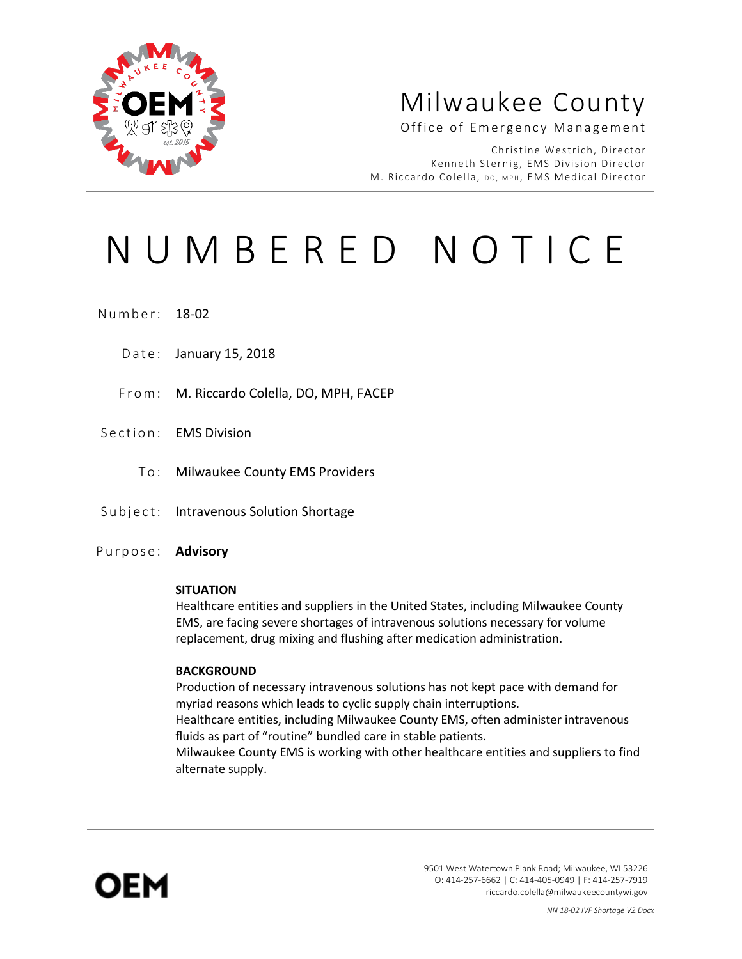

# Milwaukee County

Office of Emergency Management

Christine Westrich, Director Kenneth Sternig, EMS Division Director M. Riccardo Colella, DO, MPH, EMS Medical Director

# NUMBERED NOTICE

Number: 18-02

- Date: January 15, 2018
- From: M. Riccardo Colella, DO, MPH, FACEP
- Section: EMS Division
	- To: Milwaukee County EMS Providers
- Subject: Intravenous Solution Shortage
- Purpose: **Advisory**

#### **SITUATION**

Healthcare entities and suppliers in the United States, including Milwaukee County EMS, are facing severe shortages of intravenous solutions necessary for volume replacement, drug mixing and flushing after medication administration.

#### **BACKGROUND**

Production of necessary intravenous solutions has not kept pace with demand for myriad reasons which leads to cyclic supply chain interruptions. Healthcare entities, including Milwaukee County EMS, often administer intravenous fluids as part of "routine" bundled care in stable patients. Milwaukee County EMS is working with other healthcare entities and suppliers to find alternate supply.



9501 West Watertown Plank Road; Milwaukee, WI 53226 O: 414-257-6662 | C: 414-405-0949 | F: 414-257-7919 riccardo.colella@milwaukeecountywi.gov